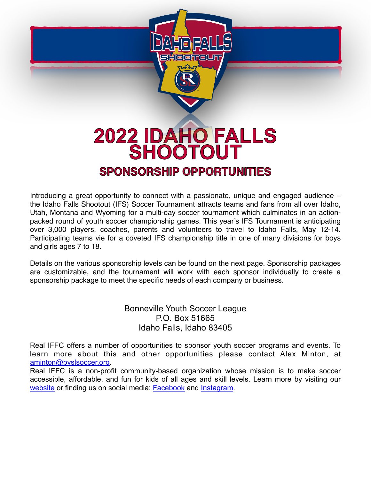

### **2022 IDAHO FALLS SHOOTOUT SPONSORSHIP OPPORTUNITIES**

Introducing a great opportunity to connect with a passionate, unique and engaged audience – the Idaho Falls Shootout (IFS) Soccer Tournament attracts teams and fans from all over Idaho, Utah, Montana and Wyoming for a multi-day soccer tournament which culminates in an actionpacked round of youth soccer championship games. This year's IFS Tournament is anticipating over 3,000 players, coaches, parents and volunteers to travel to Idaho Falls, May 12-14. Participating teams vie for a coveted IFS championship title in one of many divisions for boys and girls ages 7 to 18.

Details on the various sponsorship levels can be found on the next page. Sponsorship packages are customizable, and the tournament will work with each sponsor individually to create a sponsorship package to meet the specific needs of each company or business.

> Bonneville Youth Soccer League P.O. Box 51665 Idaho Falls, Idaho 83405

Real IFFC offers a number of opportunities to sponsor youth soccer programs and events. To learn more about this and other opportunities please contact Alex Minton, at [aminton@byslsoccer.org](mailto:aminton@byslsoccer.org).

Real IFFC is a non-profit community-based organization whose mission is to make soccer accessible, affordable, and fun for kids of all ages and skill levels. Learn more by visiting our [website](http://www.byslsoccer.org) or finding us on social media: [Facebook](http://www.facebook.com/realiffc/) and [Instagram](http://www.instagram.com/real_iffc).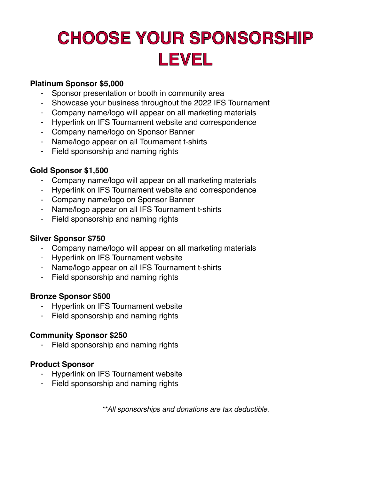## **CHOOSE YOUR SPONSORSHIP LEVEL**

#### **Platinum Sponsor \$5,000**

- Sponsor presentation or booth in community area
- Showcase your business throughout the 2022 IFS Tournament
- Company name/logo will appear on all marketing materials
- Hyperlink on IFS Tournament website and correspondence
- Company name/logo on Sponsor Banner
- Name/logo appear on all Tournament t-shirts
- Field sponsorship and naming rights

#### **Gold Sponsor \$1,500**

- Company name/logo will appear on all marketing materials
- Hyperlink on IFS Tournament website and correspondence
- Company name/logo on Sponsor Banner
- Name/logo appear on all IFS Tournament t-shirts
- Field sponsorship and naming rights

#### **Silver Sponsor \$750**

- Company name/logo will appear on all marketing materials
- Hyperlink on IFS Tournament website
- Name/logo appear on all IFS Tournament t-shirts
- Field sponsorship and naming rights

#### **Bronze Sponsor \$500**

- Hyperlink on IFS Tournament website
- Field sponsorship and naming rights

#### **Community Sponsor \$250**

- Field sponsorship and naming rights

#### **Product Sponsor**

- Hyperlink on IFS Tournament website
- Field sponsorship and naming rights

*\*\*All sponsorships and donations are tax deductible.*